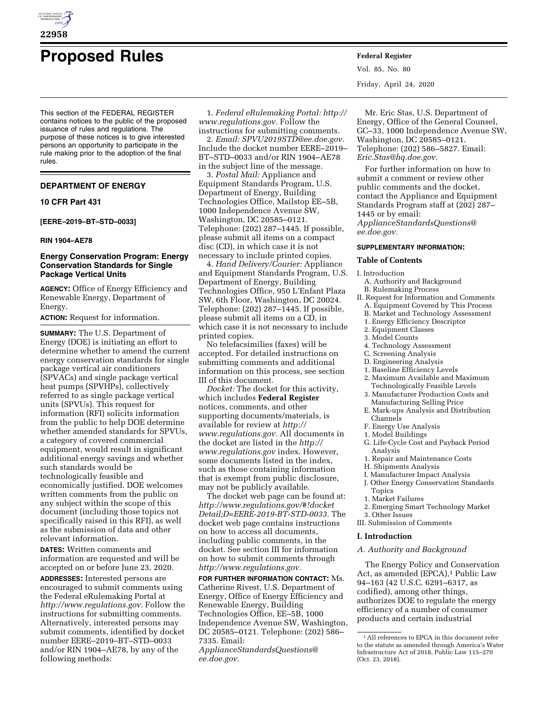

# **Proposed Rules Federal Register**

This section of the FEDERAL REGISTER contains notices to the public of the proposed issuance of rules and regulations. The purpose of these notices is to give interested persons an opportunity to participate in the rule making prior to the adoption of the final rules.

# **DEPARTMENT OF ENERGY**

# **10 CFR Part 431**

**[EERE–2019–BT–STD–0033]** 

#### **RIN 1904–AE78**

# **Energy Conservation Program: Energy Conservation Standards for Single Package Vertical Units**

**AGENCY:** Office of Energy Efficiency and Renewable Energy, Department of Energy.

**ACTION:** Request for information.

**SUMMARY:** The U.S. Department of Energy (DOE) is initiating an effort to determine whether to amend the current energy conservation standards for single package vertical air conditioners (SPVACs) and single package vertical heat pumps (SPVHPs), collectively referred to as single package vertical units (SPVUs). This request for information (RFI) solicits information from the public to help DOE determine whether amended standards for SPVUs, a category of covered commercial equipment, would result in significant additional energy savings and whether such standards would be technologically feasible and economically justified. DOE welcomes written comments from the public on any subject within the scope of this document (including those topics not specifically raised in this RFI), as well as the submission of data and other relevant information.

**DATES:** Written comments and information are requested and will be accepted on or before June 23, 2020.

**ADDRESSES:** Interested persons are encouraged to submit comments using the Federal eRulemaking Portal at *[http://www.regulations.gov.](http://www.regulations.gov)* Follow the instructions for submitting comments. Alternatively, interested persons may submit comments, identified by docket number EERE–2019–BT–STD–0033 and/or RIN 1904–AE78, by any of the following methods:

1. *Federal eRulemaking Portal: [http://](http://www.regulations.gov)  [www.regulations.gov.](http://www.regulations.gov)* Follow the

instructions for submitting comments. 2. *Email: [SPVU2019STD@ee.doe.gov.](mailto:SPVU2019STD@ee.doe.gov)*  Include the docket number EERE–2019– BT–STD–0033 and/or RIN 1904–AE78 in the subject line of the message.

3. *Postal Mail:* Appliance and Equipment Standards Program, U.S. Department of Energy, Building Technologies Office, Mailstop EE–5B, 1000 Independence Avenue SW, Washington, DC 20585–0121. Telephone: (202) 287–1445. If possible, please submit all items on a compact disc (CD), in which case it is not necessary to include printed copies.

4. *Hand Delivery/Courier:* Appliance and Equipment Standards Program, U.S. Department of Energy, Building Technologies Office, 950 L'Enfant Plaza SW, 6th Floor, Washington, DC 20024. Telephone: (202) 287–1445. If possible, please submit all items on a CD, in which case it is not necessary to include printed copies.

No telefacsimilies (faxes) will be accepted. For detailed instructions on submitting comments and additional information on this process, see section III of this document.

*Docket:* The docket for this activity, which includes **Federal Register**  notices, comments, and other supporting documents/materials, is available for review at *[http://](http://www.regulations.gov) [www.regulations.gov.](http://www.regulations.gov)* All documents in the docket are listed in the *[http://](http://www.regulations.gov) [www.regulations.gov](http://www.regulations.gov)* index. However, some documents listed in the index, such as those containing information that is exempt from public disclosure, may not be publicly available.

The docket web page can be found at: *[http://www.regulations.gov/#!docket](http://www.regulations.gov/#!docketDetail;D=EERE-2019-BT-STD-0033) [Detail;D=EERE-2019-BT-STD-0033.](http://www.regulations.gov/#!docketDetail;D=EERE-2019-BT-STD-0033)* The docket web page contains instructions on how to access all documents, including public comments, in the docket. See section III for information on how to submit comments through *[http://www.regulations.gov.](http://www.regulations.gov)* 

**FOR FURTHER INFORMATION CONTACT:** Ms. Catherine Rivest, U.S. Department of Energy, Office of Energy Efficiency and Renewable Energy, Building Technologies Office, EE–5B, 1000 Independence Avenue SW, Washington, DC 20585–0121. Telephone: (202) 586– 7335. Email: *[ApplianceStandardsQuestions@](mailto:ApplianceStandardsQuestions@ee.doe.gov)*

*[ee.doe.gov.](mailto:ApplianceStandardsQuestions@ee.doe.gov)* 

Vol. 85, No. 80 Friday, April 24, 2020

Mr. Eric Stas, U.S. Department of Energy, Office of the General Counsel, GC–33, 1000 Independence Avenue SW, Washington, DC 20585–0121. Telephone: (202) 586–5827. Email: *[Eric.Stas@hq.doe.gov.](mailto:Eric.Stas@hq.doe.gov)* 

For further information on how to submit a comment or review other public comments and the docket, contact the Appliance and Equipment Standards Program staff at (202) 287– 1445 or by email: *[ApplianceStandardsQuestions@](mailto:ApplianceStandardsQuestions@ee.doe.gov) [ee.doe.gov.](mailto:ApplianceStandardsQuestions@ee.doe.gov)* 

## **SUPPLEMENTARY INFORMATION:**

## **Table of Contents**

I. Introduction

- A. Authority and Background
- B. Rulemaking Process
- II. Request for Information and Comments A. Equipment Covered by This Process
	- B. Market and Technology Assessment
	- 1. Energy Efficiency Descriptor
	- 2. Equipment Classes
	- 3. Model Counts
	- 4. Technology Assessment
	- C. Screening Analysis
	- D. Engineering Analysis
	- 1. Baseline Efficiency Levels
	- 2. Maximum Available and Maximum Technologically Feasible Levels 3. Manufacturer Production Costs and
	- Manufacturing Selling Price
	- E. Mark-ups Analysis and Distribution Channels
	- F. Energy Use Analysis 1. Model Buildings
	- G. Life-Cycle Cost and Payback Period Analysis
	- 1. Repair and Maintenance Costs
	- H. Shipments Analysis
	- I. Manufacturer Impact Analysis
	- J. Other Energy Conservation Standards Topics
	- 1. Market Failures
	-
	- 2. Emerging Smart Technology Market 3. Other Issues
- III. Submission of Comments

#### **I. Introduction**

## *A. Authority and Background*

The Energy Policy and Conservation Act, as amended (EPCA),<sup>1</sup> Public Law 94–163 (42 U.S.C. 6291–6317, as codified), among other things, authorizes DOE to regulate the energy efficiency of a number of consumer products and certain industrial

<sup>1</sup>All references to EPCA in this document refer to the statute as amended through America's Water Infrastructure Act of 2018, Public Law 115–270 (Oct. 23, 2018).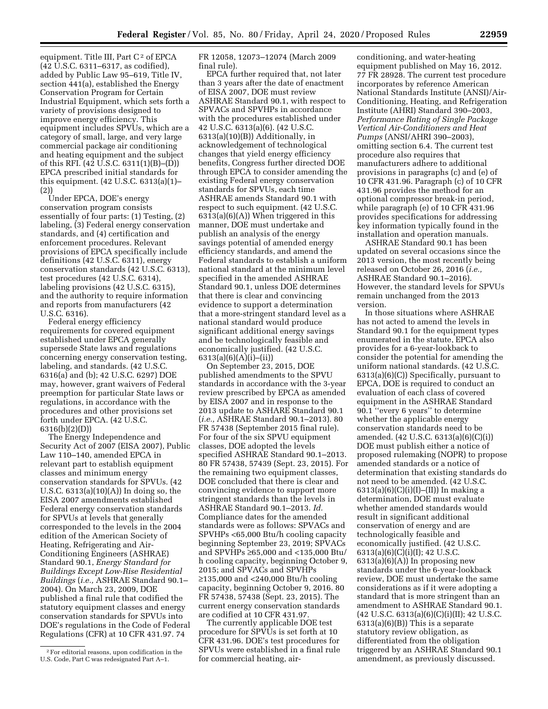equipment. Title III, Part  $C<sup>2</sup>$  of EPCA (42 U.S.C. 6311–6317, as codified), added by Public Law 95–619, Title IV, section 441(a), established the Energy Conservation Program for Certain Industrial Equipment, which sets forth a variety of provisions designed to improve energy efficiency. This equipment includes SPVUs, which are a category of small, large, and very large commercial package air conditioning and heating equipment and the subject of this RFI. (42 U.S.C. 6311(1)(B)–(D)) EPCA prescribed initial standards for this equipment. (42 U.S.C. 6313(a)(1)– (2))

Under EPCA, DOE's energy conservation program consists essentially of four parts: (1) Testing, (2) labeling, (3) Federal energy conservation standards, and (4) certification and enforcement procedures. Relevant provisions of EPCA specifically include definitions (42 U.S.C. 6311), energy conservation standards (42 U.S.C. 6313), test procedures (42 U.S.C. 6314), labeling provisions (42 U.S.C. 6315), and the authority to require information and reports from manufacturers (42 U.S.C. 6316).

Federal energy efficiency requirements for covered equipment established under EPCA generally supersede State laws and regulations concerning energy conservation testing, labeling, and standards. (42 U.S.C. 6316(a) and (b); 42 U.S.C. 6297) DOE may, however, grant waivers of Federal preemption for particular State laws or regulations, in accordance with the procedures and other provisions set forth under EPCA. (42 U.S.C. 6316(b)(2)(D))

The Energy Independence and Security Act of 2007 (EISA 2007), Public Law 110–140, amended EPCA in relevant part to establish equipment classes and minimum energy conservation standards for SPVUs. (42 U.S.C. 6313(a)(10)(A)) In doing so, the EISA 2007 amendments established Federal energy conservation standards for SPVUs at levels that generally corresponded to the levels in the 2004 edition of the American Society of Heating, Refrigerating and Air-Conditioning Engineers (ASHRAE) Standard 90.1, *Energy Standard for Buildings Except Low-Rise Residential Buildings* (*i.e.,* ASHRAE Standard 90.1– 2004). On March 23, 2009, DOE published a final rule that codified the statutory equipment classes and energy conservation standards for SPVUs into DOE's regulations in the Code of Federal Regulations (CFR) at 10 CFR 431.97. 74

FR 12058, 12073–12074 (March 2009 final rule).

EPCA further required that, not later than 3 years after the date of enactment of EISA 2007, DOE must review ASHRAE Standard 90.1, with respect to SPVACs and SPVHPs in accordance with the procedures established under 42 U.S.C. 6313(a)(6). (42 U.S.C. 6313(a)(10)(B)) Additionally, in acknowledgement of technological changes that yield energy efficiency benefits, Congress further directed DOE through EPCA to consider amending the existing Federal energy conservation standards for SPVUs, each time ASHRAE amends Standard 90.1 with respect to such equipment. (42 U.S.C. 6313(a)(6)(A)) When triggered in this manner, DOE must undertake and publish an analysis of the energy savings potential of amended energy efficiency standards, and amend the Federal standards to establish a uniform national standard at the minimum level specified in the amended ASHRAE Standard 90.1, unless DOE determines that there is clear and convincing evidence to support a determination that a more-stringent standard level as a national standard would produce significant additional energy savings and be technologically feasible and economically justified. (42 U.S.C. 6313(a)(6)(A)(i)–(ii))

On September 23, 2015, DOE published amendments to the SPVU standards in accordance with the 3-year review prescribed by EPCA as amended by EISA 2007 and in response to the 2013 update to ASHARE Standard 90.1 (*i.e.,* ASHRAE Standard 90.1–2013). 80 FR 57438 (September 2015 final rule). For four of the six SPVU equipment classes, DOE adopted the levels specified ASHRAE Standard 90.1–2013. 80 FR 57438, 57439 (Sept. 23, 2015). For the remaining two equipment classes, DOE concluded that there is clear and convincing evidence to support more stringent standards than the levels in ASHRAE Standard 90.1–2013. *Id.*  Compliance dates for the amended standards were as follows: SPVACs and SPVHPs <65,000 Btu/h cooling capacity beginning September 23, 2019; SPVACs and SPVHPs ≥65,000 and <135,000 Btu/ h cooling capacity, beginning October 9, 2015; and SPVACs and SPVHPs ≥135,000 and <240,000 Btu/h cooling capacity, beginning October 9, 2016. 80 FR 57438, 57438 (Sept. 23, 2015). The current energy conservation standards are codified at 10 CFR 431.97.

The currently applicable DOE test procedure for SPVUs is set forth at 10 CFR 431.96. DOE's test procedures for SPVUs were established in a final rule for commercial heating, air-

conditioning, and water-heating equipment published on May 16, 2012. 77 FR 28928. The current test procedure incorporates by reference American National Standards Institute (ANSI)/Air-Conditioning, Heating, and Refrigeration Institute (AHRI) Standard 390–2003, *Performance Rating of Single Package Vertical Air-Conditioners and Heat Pumps* (ANSI/AHRI 390–2003), omitting section 6.4. The current test procedure also requires that manufacturers adhere to additional provisions in paragraphs (c) and (e) of 10 CFR 431.96. Paragraph (c) of 10 CFR 431.96 provides the method for an optional compressor break-in period, while paragraph (e) of 10 CFR 431.96 provides specifications for addressing key information typically found in the installation and operation manuals.

ASHRAE Standard 90.1 has been updated on several occasions since the 2013 version, the most recently being released on October 26, 2016 (*i.e.,*  ASHRAE Standard 90.1–2016). However, the standard levels for SPVUs remain unchanged from the 2013 version.

In those situations where ASHRAE has not acted to amend the levels in Standard 90.1 for the equipment types enumerated in the statute, EPCA also provides for a 6-year-lookback to consider the potential for amending the uniform national standards. (42 U.S.C. 6313(a)(6)(C)) Specifically, pursuant to EPCA, DOE is required to conduct an evaluation of each class of covered equipment in the ASHRAE Standard 90.1 ''every 6 years'' to determine whether the applicable energy conservation standards need to be amended. (42 U.S.C. 6313(a)(6)(C)(i)) DOE must publish either a notice of proposed rulemaking (NOPR) to propose amended standards or a notice of determination that existing standards do not need to be amended. (42 U.S.C. 6313(a)(6)(C)(i)(I)–(II)) In making a determination, DOE must evaluate whether amended standards would result in significant additional conservation of energy and are technologically feasible and economically justified. (42 U.S.C.  $6313(a)(6)(C)(i)(I); 42 U.S.C.$  $6313(a)(6)(A)$  In proposing new standards under the 6-year-lookback review, DOE must undertake the same considerations as if it were adopting a standard that is more stringent than an amendment to ASHRAE Standard 90.1.  $(42 \text{ U.S.C. } 6313(a)(6)(C)(i)(II); 42 \text{ U.S.C.}$ 6313(a)(6)(B)) This is a separate statutory review obligation, as differentiated from the obligation triggered by an ASHRAE Standard 90.1 amendment, as previously discussed.

<sup>2</sup>For editorial reasons, upon codification in the U.S. Code, Part C was redesignated Part A–1.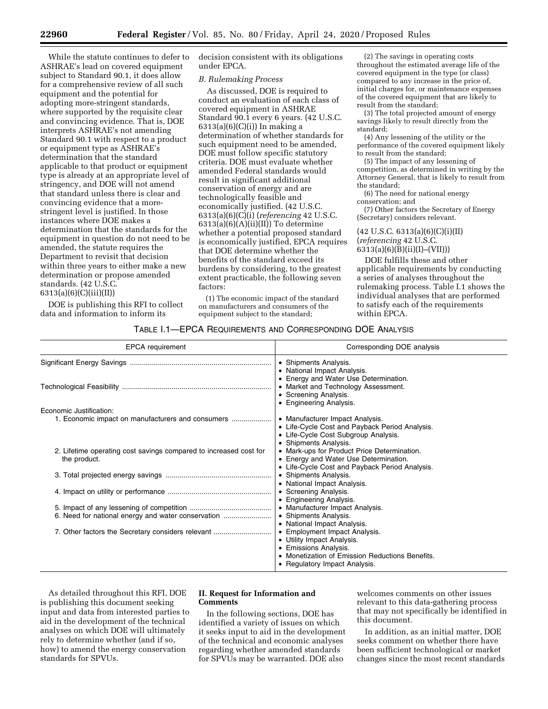While the statute continues to defer to ASHRAE's lead on covered equipment subject to Standard 90.1, it does allow for a comprehensive review of all such equipment and the potential for adopting more-stringent standards, where supported by the requisite clear and convincing evidence. That is, DOE interprets ASHRAE's not amending Standard 90.1 with respect to a product or equipment type as ASHRAE's determination that the standard applicable to that product or equipment type is already at an appropriate level of stringency, and DOE will not amend that standard unless there is clear and convincing evidence that a morestringent level is justified. In those instances where DOE makes a determination that the standards for the equipment in question do not need to be amended, the statute requires the Department to revisit that decision within three years to either make a new determination or propose amended standards. (42 U.S.C. 6313(a)(6)(C)(iii)(II))

DOE is publishing this RFI to collect data and information to inform its

decision consistent with its obligations under EPCA.

## *B. Rulemaking Process*

As discussed, DOE is required to conduct an evaluation of each class of covered equipment in ASHRAE Standard 90.1 every 6 years. (42 U.S.C. 6313(a)(6)(C)(i)) In making a determination of whether standards for such equipment need to be amended, DOE must follow specific statutory criteria. DOE must evaluate whether amended Federal standards would result in significant additional conservation of energy and are technologically feasible and economically justified. (42 U.S.C. 6313(a)(6)(C)(i) (*referencing* 42 U.S.C.  $6313(a)(6)(A)(ii)(II)$  To determine whether a potential proposed standard is economically justified, EPCA requires that DOE determine whether the benefits of the standard exceed its burdens by considering, to the greatest extent practicable, the following seven factors:

(1) The economic impact of the standard on manufacturers and consumers of the equipment subject to the standard;

(2) The savings in operating costs throughout the estimated average life of the covered equipment in the type (or class) compared to any increase in the price of, initial charges for, or maintenance expenses of the covered equipment that are likely to result from the standard;

(3) The total projected amount of energy savings likely to result directly from the standard;

(4) Any lessening of the utility or the performance of the covered equipment likely to result from the standard;

(5) The impact of any lessening of competition, as determined in writing by the Attorney General, that is likely to result from the standard;

(6) The need for national energy conservation; and

(7) Other factors the Secretary of Energy (Secretary) considers relevant.

(42 U.S.C. 6313(a)(6)(C)(i)(II) (*referencing* 42 U.S.C. 6313(a)(6)(B)(ii)(I)–(VII)))

DOE fulfills these and other applicable requirements by conducting a series of analyses throughout the rulemaking process. Table I.1 shows the individual analyses that are performed to satisfy each of the requirements within EPCA.

# TABLE I.1—EPCA REQUIREMENTS AND CORRESPONDING DOE ANALYSIS

| <b>EPCA</b> requirement                                                           | Corresponding DOE analysis                                                                                                                                               |
|-----------------------------------------------------------------------------------|--------------------------------------------------------------------------------------------------------------------------------------------------------------------------|
|                                                                                   | • Shipments Analysis.<br>• National Impact Analysis.                                                                                                                     |
|                                                                                   | • Energy and Water Use Determination.<br>• Market and Technology Assessment.<br>• Screening Analysis.                                                                    |
| Economic Justification:<br>1. Economic impact on manufacturers and consumers      | • Engineering Analysis.<br>• Manufacturer Impact Analysis.<br>• Life-Cycle Cost and Payback Period Analysis.<br>• Life-Cycle Cost Subgroup Analysis.                     |
| 2. Lifetime operating cost savings compared to increased cost for<br>the product. | • Shipments Analysis.<br>• Mark-ups for Product Price Determination.<br>• Energy and Water Use Determination.<br>• Life-Cycle Cost and Payback Period Analysis.          |
|                                                                                   | • Shipments Analysis.<br>• National Impact Analysis.                                                                                                                     |
|                                                                                   | • Screening Analysis.<br>• Engineering Analysis.                                                                                                                         |
| 6. Need for national energy and water conservation                                | • Manufacturer Impact Analysis.<br>• Shipments Analysis.<br>• National Impact Analysis.                                                                                  |
| 7. Other factors the Secretary considers relevant                                 | • Employment Impact Analysis.<br>• Utility Impact Analysis.<br>• Emissions Analysis.<br>• Monetization of Emission Reductions Benefits.<br>• Regulatory Impact Analysis. |

As detailed throughout this RFI, DOE is publishing this document seeking input and data from interested parties to aid in the development of the technical analyses on which DOE will ultimately rely to determine whether (and if so, how) to amend the energy conservation standards for SPVUs.

# **II. Request for Information and Comments**

In the following sections, DOE has identified a variety of issues on which it seeks input to aid in the development of the technical and economic analyses regarding whether amended standards for SPVUs may be warranted. DOE also

welcomes comments on other issues relevant to this data-gathering process that may not specifically be identified in this document.

In addition, as an initial matter, DOE seeks comment on whether there have been sufficient technological or market changes since the most recent standards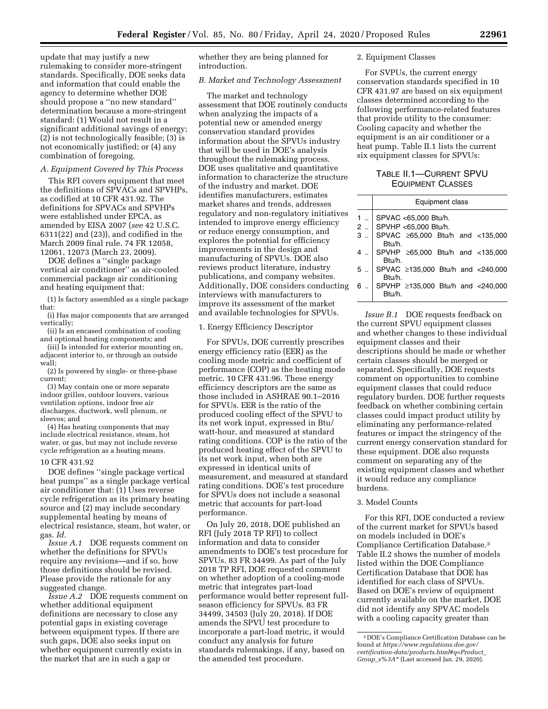update that may justify a new rulemaking to consider more-stringent standards. Specifically, DOE seeks data and information that could enable the agency to determine whether DOE should propose a ''no new standard'' determination because a more-stringent standard: (1) Would not result in a significant additional savings of energy; (2) is not technologically feasible; (3) is not economically justified; or (4) any combination of foregoing.

#### *A. Equipment Covered by This Process*

This RFI covers equipment that meet the definitions of SPVACs and SPVHPs, as codified at 10 CFR 431.92. The definitions for SPVACs and SPVHPs were established under EPCA, as amended by EISA 2007 (*see* 42 U.S.C. 6311(22) and (23)), and codified in the March 2009 final rule. 74 FR 12058, 12061, 12073 (March 23, 2009).

DOE defines a ''single package vertical air conditioner'' as air-cooled commercial package air conditioning and heating equipment that:

(1) Is factory assembled as a single package that:

(i) Has major components that are arranged vertically;

(ii) Is an encased combination of cooling and optional heating components; and

(iii) Is intended for exterior mounting on, adjacent interior to, or through an outside wall;

(2) Is powered by single- or three-phase current;

(3) May contain one or more separate indoor grilles, outdoor louvers, various ventilation options, indoor free air discharges, ductwork, well plenum, or sleeves; and

(4) Has heating components that may include electrical resistance, steam, hot water, or gas, but may not include reverse cycle refrigeration as a heating means.

## 10 CFR 431.92

DOE defines ''single package vertical heat pumps'' as a single package vertical air conditioner that: (1) Uses reverse cycle refrigeration as its primary heating source and (2) may include secondary supplemental heating by means of electrical resistance, steam, hot water, or gas. *Id.* 

*Issue A.1* DOE requests comment on whether the definitions for SPVUs require any revisions—and if so, how those definitions should be revised. Please provide the rationale for any suggested change.

*Issue A.2* DOE requests comment on whether additional equipment definitions are necessary to close any potential gaps in existing coverage between equipment types. If there are such gaps, DOE also seeks input on whether equipment currently exists in the market that are in such a gap or

whether they are being planned for introduction.

## *B. Market and Technology Assessment*

The market and technology assessment that DOE routinely conducts when analyzing the impacts of a potential new or amended energy conservation standard provides information about the SPVUs industry that will be used in DOE's analysis throughout the rulemaking process. DOE uses qualitative and quantitative information to characterize the structure of the industry and market. DOE identifies manufacturers, estimates market shares and trends, addresses regulatory and non-regulatory initiatives intended to improve energy efficiency or reduce energy consumption, and explores the potential for efficiency improvements in the design and manufacturing of SPVUs. DOE also reviews product literature, industry publications, and company websites. Additionally, DOE considers conducting interviews with manufacturers to improve its assessment of the market and available technologies for SPVUs.

1. Energy Efficiency Descriptor

For SPVUs, DOE currently prescribes energy efficiency ratio (EER) as the cooling mode metric and coefficient of performance (COP) as the heating mode metric. 10 CFR 431.96. These energy efficiency descriptors are the same as those included in ASHRAE 90.1–2016 for SPVUs. EER is the ratio of the produced cooling effect of the SPVU to its net work input, expressed in Btu/ watt-hour, and measured at standard rating conditions. COP is the ratio of the produced heating effect of the SPVU to its net work input, when both are expressed in identical units of measurement, and measured at standard rating conditions. DOE's test procedure for SPVUs does not include a seasonal metric that accounts for part-load performance.

On July 20, 2018, DOE published an RFI (July 2018 TP RFI) to collect information and data to consider amendments to DOE's test procedure for SPVUs. 83 FR 34499. As part of the July 2018 TP RFI, DOE requested comment on whether adoption of a cooling-mode metric that integrates part-load performance would better represent fullseason efficiency for SPVUs. 83 FR 34499, 34503 (July 20, 2018). If DOE amends the SPVU test procedure to incorporate a part-load metric, it would conduct any analysis for future standards rulemakings, if any, based on the amended test procedure.

# 2. Equipment Classes

For SVPUs, the current energy conservation standards specified in 10 CFR 431.97 are based on six equipment classes determined according to the following performance-related features that provide utility to the consumer: Cooling capacity and whether the equipment is an air conditioner or a heat pump. Table II.1 lists the current six equipment classes for SPVUs:

# TABLE II.1—CURRENT SPVU EQUIPMENT CLASSES

|           | Equipment class                                            |  |  |
|-----------|------------------------------------------------------------|--|--|
|           | SPVAC <65,000 Btu/h.<br>2    SPVHP <65,000 Btu/h.          |  |  |
|           | 3  SPVAC ≥65,000 Btu/h and <135,000                        |  |  |
|           | Btu/h.                                                     |  |  |
|           | SPVHP $\geq 65,000$ Btu/h and <135,000<br>Btu/h.           |  |  |
| 5         | SPVAC ≥135,000 Btu/h and <240,000                          |  |  |
| $6 \dots$ | Btu/h.<br>SPVHP $\geq$ 135,000 Btu/h and <240,000<br>Rtu/h |  |  |

*Issue B.1* DOE requests feedback on the current SPVU equipment classes and whether changes to these individual equipment classes and their descriptions should be made or whether certain classes should be merged or separated. Specifically, DOE requests comment on opportunities to combine equipment classes that could reduce regulatory burden. DOE further requests feedback on whether combining certain classes could impact product utility by eliminating any performance-related features or impact the stringency of the current energy conservation standard for these equipment. DOE also requests comment on separating any of the existing equipment classes and whether it would reduce any compliance burdens.

## 3. Model Counts

For this RFI, DOE conducted a review of the current market for SPVUs based on models included in DOE's Compliance Certification Database.3 Table II.2 shows the number of models listed within the DOE Compliance Certification Database that DOE has identified for each class of SPVUs. Based on DOE's review of equipment currently available on the market, DOE did not identify any SPVAC models with a cooling capacity greater than

<sup>3</sup> DOE's Compliance Certification Database can be found at *[https://www.regulations.doe.gov/](https://www.regulations.doe.gov/certification-data/products.html#q=Product_Group_s%3A*)  [certification-data/products.html#q=Product](https://www.regulations.doe.gov/certification-data/products.html#q=Product_Group_s%3A*)*\_ *Group*\_*[s%3A\\*](https://www.regulations.doe.gov/certification-data/products.html#q=Product_Group_s%3A*)* (Last accessed Jan. 29, 2020).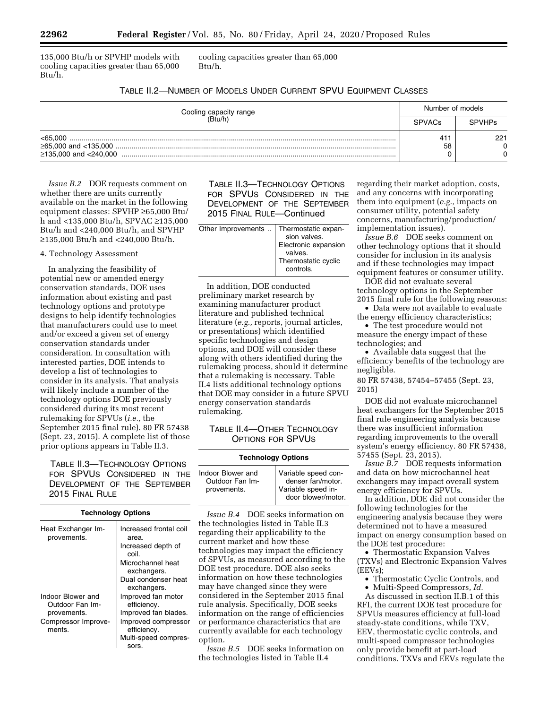135,000 Btu/h or SPVHP models with cooling capacities greater than 65,000 Btu/h.

cooling capacities greater than 65,000 Btu/h.

| Cooling capacity range<br>(Btu/h) | Number of models      |                     |
|-----------------------------------|-----------------------|---------------------|
|                                   | <b>SPVACs</b>         | <b>SPVHPs</b>       |
| < 65.000                          | 41 <sup>2</sup><br>58 | 221<br>$\mathbf{0}$ |

*Issue B.2* DOE requests comment on whether there are units currently available on the market in the following equipment classes: SPVHP ≥65,000 Btu/ h and <135,000 Btu/h, SPVAC ≥135,000 Btu/h and <240,000 Btu/h, and SPVHP ≥135,000 Btu/h and <240,000 Btu/h.

## 4. Technology Assessment

In analyzing the feasibility of potential new or amended energy conservation standards, DOE uses information about existing and past technology options and prototype designs to help identify technologies that manufacturers could use to meet and/or exceed a given set of energy conservation standards under consideration. In consultation with interested parties, DOE intends to develop a list of technologies to consider in its analysis. That analysis will likely include a number of the technology options DOE previously considered during its most recent rulemaking for SPVUs (*i.e.,* the September 2015 final rule). 80 FR 57438 (Sept. 23, 2015). A complete list of those prior options appears in Table II.3.

TABLE II.3—TECHNOLOGY OPTIONS FOR SPVUS CONSIDERED IN THE DEVELOPMENT OF THE SEPTEMBER 2015 FINAL RULE

| <b>Technology Options</b>                                                            |                                                                                                                                          |
|--------------------------------------------------------------------------------------|------------------------------------------------------------------------------------------------------------------------------------------|
| Heat Exchanger Im-<br>provements.                                                    | Increased frontal coil<br>area.<br>Increased depth of<br>coil.<br>Microchannel heat<br>exchangers.<br>Dual condenser heat<br>exchangers. |
| Indoor Blower and<br>Outdoor Fan Im-<br>provements.<br>Compressor Improve-<br>ments. | Improved fan motor<br>efficiency.<br>Improved fan blades.<br>Improved compressor<br>efficiency.<br>Multi-speed compres-<br>sors.         |

TABLE II.3—TECHNOLOGY OPTIONS FOR SPVUS CONSIDERED IN THE DEVELOPMENT OF THE SEPTEMBER 2015 FINAL RULE—Continued

Other Improvements .. Thermostatic expansion valves. Electronic expansion valves. Thermostatic cyclic controls.

In addition, DOE conducted preliminary market research by examining manufacturer product literature and published technical literature (*e.g.,* reports, journal articles, or presentations) which identified specific technologies and design options, and DOE will consider these along with others identified during the rulemaking process, should it determine that a rulemaking is necessary. Table II.4 lists additional technology options that DOE may consider in a future SPVU energy conservation standards rulemaking.

TABLE II.4—OTHER TECHNOLOGY OPTIONS FOR SPVUS

| <b>Technology Options</b>                           |                                                                                      |  |
|-----------------------------------------------------|--------------------------------------------------------------------------------------|--|
| Indoor Blower and<br>Outdoor Fan Im-<br>provements. | Variable speed con-<br>denser fan/motor.<br>Variable speed in-<br>door blower/motor. |  |

*Issue B.4* DOE seeks information on the technologies listed in Table II.3 regarding their applicability to the current market and how these technologies may impact the efficiency of SPVUs, as measured according to the DOE test procedure. DOE also seeks information on how these technologies may have changed since they were considered in the September 2015 final rule analysis. Specifically, DOE seeks information on the range of efficiencies or performance characteristics that are currently available for each technology option.

*Issue B.5* DOE seeks information on the technologies listed in Table II.4

regarding their market adoption, costs, and any concerns with incorporating them into equipment (*e.g.,* impacts on consumer utility, potential safety concerns, manufacturing/production/ implementation issues).

*Issue B.6* DOE seeks comment on other technology options that it should consider for inclusion in its analysis and if these technologies may impact equipment features or consumer utility.

DOE did not evaluate several technology options in the September 2015 final rule for the following reasons:

• Data were not available to evaluate

the energy efficiency characteristics; • The test procedure would not

measure the energy impact of these technologies; and

• Available data suggest that the efficiency benefits of the technology are negligible.

80 FR 57438, 57454–57455 (Sept. 23, 2015)

DOE did not evaluate microchannel heat exchangers for the September 2015 final rule engineering analysis because there was insufficient information regarding improvements to the overall system's energy efficiency. 80 FR 57438, 57455 (Sept. 23, 2015).

*Issue B.7* DOE requests information and data on how microchannel heat exchangers may impact overall system energy efficiency for SPVUs.

In addition, DOE did not consider the following technologies for the engineering analysis because they were determined not to have a measured impact on energy consumption based on the DOE test procedure:

• Thermostatic Expansion Valves (TXVs) and Electronic Expansion Valves (EEVs);

• Thermostatic Cyclic Controls, and

• Multi-Speed Compressors, *Id.* 

As discussed in section II.B.1 of this RFI, the current DOE test procedure for SPVUs measures efficiency at full-load steady-state conditions, while TXV, EEV, thermostatic cyclic controls, and multi-speed compressor technologies only provide benefit at part-load conditions. TXVs and EEVs regulate the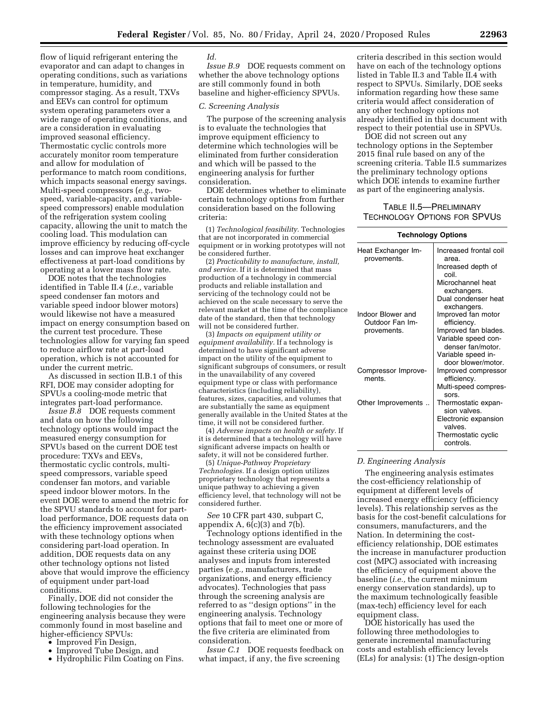flow of liquid refrigerant entering the evaporator and can adapt to changes in operating conditions, such as variations in temperature, humidity, and compressor staging. As a result, TXVs and EEVs can control for optimum system operating parameters over a wide range of operating conditions, and are a consideration in evaluating improved seasonal efficiency. Thermostatic cyclic controls more accurately monitor room temperature and allow for modulation of performance to match room conditions, which impacts seasonal energy savings. Multi-speed compressors (*e.g.,* twospeed, variable-capacity, and variablespeed compressors) enable modulation of the refrigeration system cooling capacity, allowing the unit to match the cooling load. This modulation can improve efficiency by reducing off-cycle losses and can improve heat exchanger effectiveness at part-load conditions by operating at a lower mass flow rate.

DOE notes that the technologies identified in Table II.4 (*i.e.,* variable speed condenser fan motors and variable speed indoor blower motors) would likewise not have a measured impact on energy consumption based on the current test procedure. These technologies allow for varying fan speed to reduce airflow rate at part-load operation, which is not accounted for under the current metric.

As discussed in section II.B.1 of this RFI, DOE may consider adopting for SPVUs a cooling-mode metric that integrates part-load performance.

*Issue B.8* DOE requests comment and data on how the following technology options would impact the measured energy consumption for SPVUs based on the current DOE test procedure: TXVs and EEVs, thermostatic cyclic controls, multispeed compressors, variable speed condenser fan motors, and variable speed indoor blower motors. In the event DOE were to amend the metric for the SPVU standards to account for partload performance, DOE requests data on the efficiency improvement associated with these technology options when considering part-load operation. In addition, DOE requests data on any other technology options not listed above that would improve the efficiency of equipment under part-load conditions.

Finally, DOE did not consider the following technologies for the engineering analysis because they were commonly found in most baseline and higher-efficiency SPVUs:

- Improved Fin Design,
- Improved Tube Design, and
- Hydrophilic Film Coating on Fins.

## *Id.*

*Issue B.9* DOE requests comment on whether the above technology options are still commonly found in both baseline and higher-efficiency SPVUs.

## *C. Screening Analysis*

The purpose of the screening analysis is to evaluate the technologies that improve equipment efficiency to determine which technologies will be eliminated from further consideration and which will be passed to the engineering analysis for further consideration.

DOE determines whether to eliminate certain technology options from further consideration based on the following criteria:

(1) *Technological feasibility.* Technologies that are not incorporated in commercial equipment or in working prototypes will not be considered further.

(2) *Practicability to manufacture, install, and service.* If it is determined that mass production of a technology in commercial products and reliable installation and servicing of the technology could not be achieved on the scale necessary to serve the relevant market at the time of the compliance date of the standard, then that technology will not be considered further.

(3) *Impacts on equipment utility or equipment availability.* If a technology is determined to have significant adverse impact on the utility of the equipment to significant subgroups of consumers, or result in the unavailability of any covered equipment type or class with performance characteristics (including reliability), features, sizes, capacities, and volumes that are substantially the same as equipment generally available in the United States at the time, it will not be considered further.

(4) *Adverse impacts on health or safety.* If it is determined that a technology will have significant adverse impacts on health or safety, it will not be considered further.

(5) *Unique-Pathway Proprietary Technologies.* If a design option utilizes proprietary technology that represents a unique pathway to achieving a given efficiency level, that technology will not be considered further.

*See* 10 CFR part 430, subpart C, appendix  $A$ ,  $6(c)(3)$  and  $7(b)$ .

Technology options identified in the technology assessment are evaluated against these criteria using DOE analyses and inputs from interested parties (*e.g.,* manufacturers, trade organizations, and energy efficiency advocates). Technologies that pass through the screening analysis are referred to as ''design options'' in the engineering analysis. Technology options that fail to meet one or more of the five criteria are eliminated from consideration.

*Issue C.1* DOE requests feedback on what impact, if any, the five screening

criteria described in this section would have on each of the technology options listed in Table II.3 and Table II.4 with respect to SPVUs. Similarly, DOE seeks information regarding how these same criteria would affect consideration of any other technology options not already identified in this document with respect to their potential use in SPVUs.

DOE did not screen out any technology options in the September 2015 final rule based on any of the screening criteria. Table II.5 summarizes the preliminary technology options which DOE intends to examine further as part of the engineering analysis.

# TABLE II.5—PRELIMINARY TECHNOLOGY OPTIONS FOR SPVUS

#### **Technology Options**

| Heat Exchanger Im-<br>provements.    | Increased frontal coil<br>area.                                  |
|--------------------------------------|------------------------------------------------------------------|
|                                      | Increased depth of<br>coil.                                      |
|                                      | Microchannel heat<br>exchangers.                                 |
|                                      | Dual condenser heat<br>exchangers.                               |
| Indoor Blower and<br>Outdoor Fan Im- | Improved fan motor<br>efficiency.                                |
| provements.                          | Improved fan blades.<br>Variable speed con-<br>denser fan/motor. |
|                                      | Variable speed in-<br>door blower/motor.                         |
| Compressor Improve-<br>ments.        | Improved compressor<br>efficiency.                               |
|                                      | Multi-speed compres-<br>sors.                                    |
| Other Improvements                   | Thermostatic expan-<br>sion valves.                              |
|                                      | Electronic expansion<br>valves.                                  |
|                                      | Thermostatic cyclic<br>controls.                                 |

## *D. Engineering Analysis*

The engineering analysis estimates the cost-efficiency relationship of equipment at different levels of increased energy efficiency (efficiency levels). This relationship serves as the basis for the cost-benefit calculations for consumers, manufacturers, and the Nation. In determining the costefficiency relationship, DOE estimates the increase in manufacturer production cost (MPC) associated with increasing the efficiency of equipment above the baseline (*i.e.,* the current minimum energy conservation standards), up to the maximum technologically feasible (max-tech) efficiency level for each equipment class.

DOE historically has used the following three methodologies to generate incremental manufacturing costs and establish efficiency levels (ELs) for analysis: (1) The design-option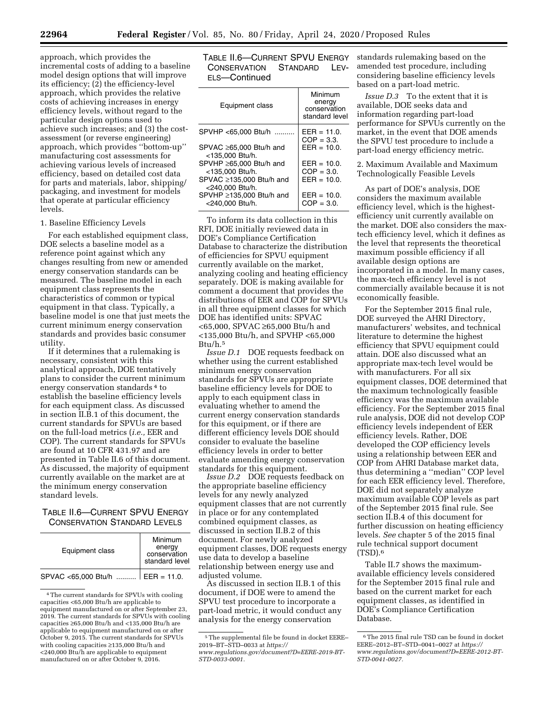approach, which provides the incremental costs of adding to a baseline model design options that will improve its efficiency; (2) the efficiency-level approach, which provides the relative costs of achieving increases in energy efficiency levels, without regard to the particular design options used to achieve such increases; and (3) the costassessment (or reverse engineering) approach, which provides ''bottom-up'' manufacturing cost assessments for achieving various levels of increased efficiency, based on detailed cost data for parts and materials, labor, shipping/ packaging, and investment for models that operate at particular efficiency levels.

#### 1. Baseline Efficiency Levels

For each established equipment class, DOE selects a baseline model as a reference point against which any changes resulting from new or amended energy conservation standards can be measured. The baseline model in each equipment class represents the characteristics of common or typical equipment in that class. Typically, a baseline model is one that just meets the current minimum energy conservation standards and provides basic consumer utility.

If it determines that a rulemaking is necessary, consistent with this analytical approach, DOE tentatively plans to consider the current minimum energy conservation standards 4 to establish the baseline efficiency levels for each equipment class. As discussed in section II.B.1 of this document, the current standards for SPVUs are based on the full-load metrics (*i.e.,* EER and COP). The current standards for SPVUs are found at 10 CFR 431.97 and are presented in Table II.6 of this document. As discussed, the majority of equipment currently available on the market are at the minimum energy conservation standard levels.

# TABLE II.6—CURRENT SPVU ENERGY CONSERVATION STANDARD LEVELS

| Equipment class     | Minimum<br>energy<br>conservation<br>standard level |
|---------------------|-----------------------------------------------------|
| SPVAC <65,000 Btu/h | $\mid$ EER = 11.0.                                  |

<sup>4</sup>The current standards for SPVUs with cooling capacities <65,000 Btu/h are applicable to equipment manufactured on or after September 23, 2019. The current standards for SPVUs with cooling capacities ≥65,000 Btu/h and <135,000 Btu/h are applicable to equipment manufactured on or after October 9, 2015. The current standards for SPVUs with cooling capacities ≥135,000 Btu/h and <240,000 Btu/h are applicable to equipment manufactured on or after October 9, 2016.

TABLE II.6—CURRENT SPVU ENERGY standards rulemaking based on the CONSERVATION STANDARD LEV-ELS—Continued

| Equipment class                            | Minimum<br>energy<br>conservation<br>standard level |
|--------------------------------------------|-----------------------------------------------------|
| SPVHP <65.000 Btu/h                        | $EER = 11.0.$<br>$COP = 3.3.$                       |
| SPVAC ≥65,000 Btu/h and<br><135,000 Btu/h. | $FFR = 10.0$                                        |
| SPVHP ≥65.000 Btu/h and                    | $EER = 10.0$ .                                      |
| <135,000 Btu/h.                            | $COP = 3.0$                                         |
| SPVAC ≥135,000 Btu/h and                   | $FFR = 10.0$                                        |
| <240,000 Btu/h.                            |                                                     |
| SPVHP ≥135.000 Btu/h and                   | $EER = 10.0$ .                                      |
| <240.000 Btu/h.                            | $COP = 3.0.$                                        |
|                                            |                                                     |

To inform its data collection in this RFI, DOE initially reviewed data in DOE's Compliance Certification Database to characterize the distribution of efficiencies for SPVU equipment currently available on the market, analyzing cooling and heating efficiency separately. DOE is making available for comment a document that provides the distributions of EER and COP for SPVUs in all three equipment classes for which DOE has identified units: SPVAC <65,000, SPVAC ≥65,000 Btu/h and <135,000 Btu/h, and SPVHP <65,000 Btu/h.5

*Issue D.1* DOE requests feedback on whether using the current established minimum energy conservation standards for SPVUs are appropriate baseline efficiency levels for DOE to apply to each equipment class in evaluating whether to amend the current energy conservation standards for this equipment, or if there are different efficiency levels DOE should consider to evaluate the baseline efficiency levels in order to better evaluate amending energy conservation standards for this equipment.

*Issue D.2* DOE requests feedback on the appropriate baseline efficiency levels for any newly analyzed equipment classes that are not currently in place or for any contemplated combined equipment classes, as discussed in section II.B.2 of this document. For newly analyzed equipment classes, DOE requests energy use data to develop a baseline relationship between energy use and adjusted volume.

As discussed in section II.B.1 of this document, if DOE were to amend the SPVU test procedure to incorporate a part-load metric, it would conduct any analysis for the energy conservation

amended test procedure, including considering baseline efficiency levels based on a part-load metric.

*Issue D.3* To the extent that it is available, DOE seeks data and information regarding part-load performance for SPVUs currently on the market, in the event that DOE amends the SPVU test procedure to include a part-load energy efficiency metric.

2. Maximum Available and Maximum Technologically Feasible Levels

As part of DOE's analysis, DOE considers the maximum available efficiency level, which is the highestefficiency unit currently available on the market. DOE also considers the maxtech efficiency level, which it defines as the level that represents the theoretical maximum possible efficiency if all available design options are incorporated in a model. In many cases, the max-tech efficiency level is not commercially available because it is not economically feasible.

For the September 2015 final rule, DOE surveyed the AHRI Directory, manufacturers' websites, and technical literature to determine the highest efficiency that SPVU equipment could attain. DOE also discussed what an appropriate max-tech level would be with manufacturers. For all six equipment classes, DOE determined that the maximum technologically feasible efficiency was the maximum available efficiency. For the September 2015 final rule analysis, DOE did not develop COP efficiency levels independent of EER efficiency levels. Rather, DOE developed the COP efficiency levels using a relationship between EER and COP from AHRI Database market data, thus determining a ''median'' COP level for each EER efficiency level. Therefore, DOE did not separately analyze maximum available COP levels as part of the September 2015 final rule. See section II.B.4 of this document for further discussion on heating efficiency levels. *See* chapter 5 of the 2015 final rule technical support document (TSD).6

Table II.7 shows the maximumavailable efficiency levels considered for the September 2015 final rule and based on the current market for each equipment classes, as identified in DOE's Compliance Certification Database.

<sup>5</sup>The supplemental file be found in docket EERE– 2019–BT–STD–0033 at *[https://](https://www.regulations.gov/document?D=EERE-2019-BT-STD-0033-0001) [www.regulations.gov/document?D=EERE-2019-BT-](https://www.regulations.gov/document?D=EERE-2019-BT-STD-0033-0001)[STD-0033-0001.](https://www.regulations.gov/document?D=EERE-2019-BT-STD-0033-0001)* 

<sup>6</sup>The 2015 final rule TSD can be found in docket EERE–2012–BT–STD–0041–0027 at *[https://](https://www.regulations.gov/document?D=EERE-2012-BT-STD-0041-0027) [www.regulations.gov/document?D=EERE-2012-BT-](https://www.regulations.gov/document?D=EERE-2012-BT-STD-0041-0027)[STD-0041-0027.](https://www.regulations.gov/document?D=EERE-2012-BT-STD-0041-0027)*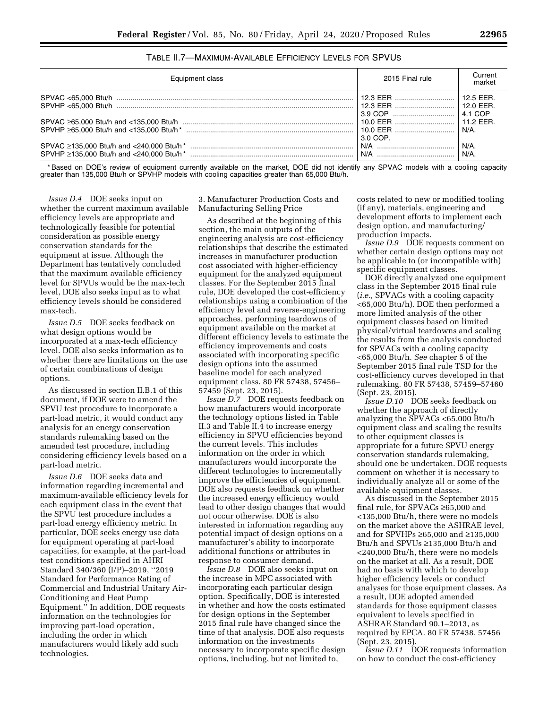| Equipment class | 2015 Final rule     | Current<br>market                     |
|-----------------|---------------------|---------------------------------------|
|                 | 12.3 EER<br>3.9 COP | $12.5$ FFR.<br>$12.0$ FFR.<br>4.1 COP |
|                 | 3.0 COP.            | 11 2 FFR<br>N/A.                      |
|                 | N/A                 | $N/A$ .<br>$N/A$ .                    |

# TABLE II.7—MAXIMUM-AVAILABLE EFFICIENCY LEVELS FOR SPVUS

\* Based on DOE's review of equipment currently available on the market, DOE did not identify any SPVAC models with a cooling capacity greater than 135,000 Btu/h or SPVHP models with cooling capacities greater than 65,000 Btu/h.

*Issue D.4* DOE seeks input on whether the current maximum available efficiency levels are appropriate and technologically feasible for potential consideration as possible energy conservation standards for the equipment at issue. Although the Department has tentatively concluded that the maximum available efficiency level for SPVUs would be the max-tech level, DOE also seeks input as to what efficiency levels should be considered max-tech.

*Issue D.5* DOE seeks feedback on what design options would be incorporated at a max-tech efficiency level. DOE also seeks information as to whether there are limitations on the use of certain combinations of design options.

As discussed in section II.B.1 of this document, if DOE were to amend the SPVU test procedure to incorporate a part-load metric, it would conduct any analysis for an energy conservation standards rulemaking based on the amended test procedure, including considering efficiency levels based on a part-load metric.

*Issue D.6* DOE seeks data and information regarding incremental and maximum-available efficiency levels for each equipment class in the event that the SPVU test procedure includes a part-load energy efficiency metric. In particular, DOE seeks energy use data for equipment operating at part-load capacities, for example, at the part-load test conditions specified in AHRI Standard 340/360 (I/P)–2019, ''2019 Standard for Performance Rating of Commercial and Industrial Unitary Air-Conditioning and Heat Pump Equipment.'' In addition, DOE requests information on the technologies for improving part-load operation, including the order in which manufacturers would likely add such technologies.

3. Manufacturer Production Costs and Manufacturing Selling Price

As described at the beginning of this section, the main outputs of the engineering analysis are cost-efficiency relationships that describe the estimated increases in manufacturer production cost associated with higher-efficiency equipment for the analyzed equipment classes. For the September 2015 final rule, DOE developed the cost-efficiency relationships using a combination of the efficiency level and reverse-engineering approaches, performing teardowns of equipment available on the market at different efficiency levels to estimate the efficiency improvements and costs associated with incorporating specific design options into the assumed baseline model for each analyzed equipment class. 80 FR 57438, 57456– 57459 (Sept. 23, 2015).

*Issue D.7* DOE requests feedback on how manufacturers would incorporate the technology options listed in Table II.3 and Table II.4 to increase energy efficiency in SPVU efficiencies beyond the current levels. This includes information on the order in which manufacturers would incorporate the different technologies to incrementally improve the efficiencies of equipment. DOE also requests feedback on whether the increased energy efficiency would lead to other design changes that would not occur otherwise. DOE is also interested in information regarding any potential impact of design options on a manufacturer's ability to incorporate additional functions or attributes in response to consumer demand.

*Issue D.8* DOE also seeks input on the increase in MPC associated with incorporating each particular design option. Specifically, DOE is interested in whether and how the costs estimated for design options in the September 2015 final rule have changed since the time of that analysis. DOE also requests information on the investments necessary to incorporate specific design options, including, but not limited to,

costs related to new or modified tooling (if any), materials, engineering and development efforts to implement each design option, and manufacturing/ production impacts.

*Issue D.9* DOE requests comment on whether certain design options may not be applicable to (or incompatible with) specific equipment classes.

DOE directly analyzed one equipment class in the September 2015 final rule (*i.e.,* SPVACs with a cooling capacity <65,000 Btu/h). DOE then performed a more limited analysis of the other equipment classes based on limited physical/virtual teardowns and scaling the results from the analysis conducted for SPVACs with a cooling capacity <65,000 Btu/h. *See* chapter 5 of the September 2015 final rule TSD for the cost-efficiency curves developed in that rulemaking. 80 FR 57438, 57459–57460 (Sept. 23, 2015).

*Issue D.10* DOE seeks feedback on whether the approach of directly analyzing the SPVACs <65,000 Btu/h equipment class and scaling the results to other equipment classes is appropriate for a future SPVU energy conservation standards rulemaking, should one be undertaken. DOE requests comment on whether it is necessary to individually analyze all or some of the available equipment classes.

As discussed in the September 2015 final rule, for SPVACs ≥65,000 and <135,000 Btu/h, there were no models on the market above the ASHRAE level, and for SPVHPs ≥65,000 and ≥135,000 Btu/h and SPVUs ≥135,000 Btu/h and <240,000 Btu/h, there were no models on the market at all. As a result, DOE had no basis with which to develop higher efficiency levels or conduct analyses for those equipment classes. As a result, DOE adopted amended standards for those equipment classes equivalent to levels specified in ASHRAE Standard 90.1–2013, as required by EPCA. 80 FR 57438, 57456 (Sept. 23, 2015).

*Issue D.11* DOE requests information on how to conduct the cost-efficiency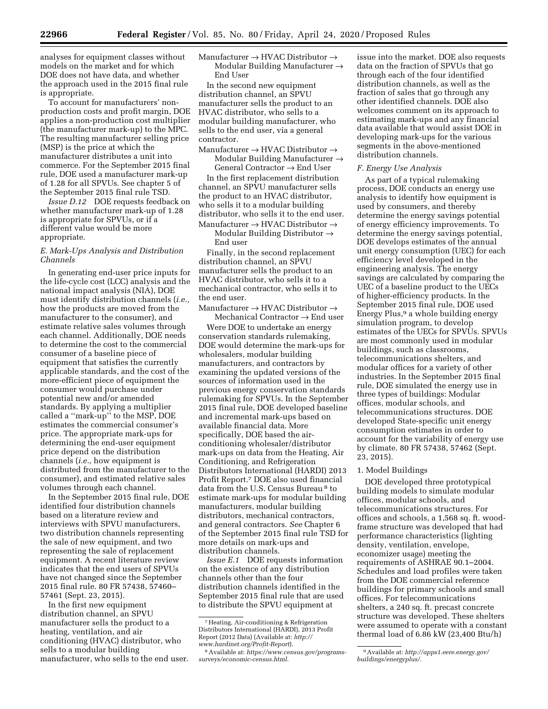analyses for equipment classes without models on the market and for which DOE does not have data, and whether the approach used in the 2015 final rule is appropriate.

To account for manufacturers' nonproduction costs and profit margin, DOE applies a non-production cost multiplier (the manufacturer mark-up) to the MPC. The resulting manufacturer selling price (MSP) is the price at which the manufacturer distributes a unit into commerce. For the September 2015 final rule, DOE used a manufacturer mark-up of 1.28 for all SPVUs. See chapter 5 of the September 2015 final rule TSD.

*Issue D.12* DOE requests feedback on whether manufacturer mark-up of 1.28 is appropriate for SPVUs, or if a different value would be more appropriate.

# *E. Mark-Ups Analysis and Distribution Channels*

In generating end-user price inputs for the life-cycle cost (LCC) analysis and the national impact analysis (NIA), DOE must identify distribution channels (*i.e.,*  how the products are moved from the manufacturer to the consumer), and estimate relative sales volumes through each channel. Additionally, DOE needs to determine the cost to the commercial consumer of a baseline piece of equipment that satisfies the currently applicable standards, and the cost of the more-efficient piece of equipment the consumer would purchase under potential new and/or amended standards. By applying a multiplier called a ''mark-up'' to the MSP, DOE estimates the commercial consumer's price. The appropriate mark-ups for determining the end-user equipment price depend on the distribution channels (*i.e.,* how equipment is distributed from the manufacturer to the consumer), and estimated relative sales volumes through each channel.

In the September 2015 final rule, DOE identified four distribution channels based on a literature review and interviews with SPVU manufacturers, two distribution channels representing the sale of new equipment, and two representing the sale of replacement equipment. A recent literature review indicates that the end users of SPVUs have not changed since the September 2015 final rule. 80 FR 57438, 57460– 57461 (Sept. 23, 2015).

In the first new equipment distribution channel, an SPVU manufacturer sells the product to a heating, ventilation, and air conditioning (HVAC) distributor, who sells to a modular building manufacturer, who sells to the end user. Manufacturer → HVAC Distributor → Modular Building Manufacturer  $\rightarrow$ End User

In the second new equipment distribution channel, an SPVU manufacturer sells the product to an HVAC distributor, who sells to a modular building manufacturer, who sells to the end user, via a general contractor.

Manufacturer  $\rightarrow$  HVAC Distributor  $\rightarrow$ Modular Building Manufacturer  $\rightarrow$ General Contractor → End User

In the first replacement distribution channel, an SPVU manufacturer sells the product to an HVAC distributor, who sells it to a modular building distributor, who sells it to the end user. Manufacturer  $\rightarrow$  HVAC Distributor  $\rightarrow$ 

Modular Building Distributor  $\rightarrow$ End user

Finally, in the second replacement distribution channel, an SPVU manufacturer sells the product to an HVAC distributor, who sells it to a mechanical contractor, who sells it to the end user.

Manufacturer → HVAC Distributor → Mechanical Contractor  $\rightarrow$  End user

Were DOE to undertake an energy conservation standards rulemaking, DOE would determine the mark-ups for wholesalers, modular building manufacturers, and contractors by examining the updated versions of the sources of information used in the previous energy conservation standards rulemaking for SPVUs. In the September 2015 final rule, DOE developed baseline and incremental mark-ups based on available financial data. More specifically, DOE based the airconditioning wholesaler/distributor mark-ups on data from the Heating, Air Conditioning, and Refrigeration Distributors International (HARDI) 2013 Profit Report.7 DOE also used financial data from the U.S. Census Bureau 8 to estimate mark-ups for modular building manufacturers, modular building distributors, mechanical contractors, and general contractors. *See* Chapter 6 of the September 2015 final rule TSD for more details on mark-ups and distribution channels.

*Issue E.1* DOE requests information on the existence of any distribution channels other than the four distribution channels identified in the September 2015 final rule that are used to distribute the SPVU equipment at

issue into the market. DOE also requests data on the fraction of SPVUs that go through each of the four identified distribution channels, as well as the fraction of sales that go through any other identified channels. DOE also welcomes comment on its approach to estimating mark-ups and any financial data available that would assist DOE in developing mark-ups for the various segments in the above-mentioned distribution channels.

## *F. Energy Use Analysis*

As part of a typical rulemaking process, DOE conducts an energy use analysis to identify how equipment is used by consumers, and thereby determine the energy savings potential of energy efficiency improvements. To determine the energy savings potential, DOE develops estimates of the annual unit energy consumption (UEC) for each efficiency level developed in the engineering analysis. The energy savings are calculated by comparing the UEC of a baseline product to the UECs of higher-efficiency products. In the September 2015 final rule, DOE used Energy Plus,<sup>9</sup> a whole building energy simulation program, to develop estimates of the UECs for SPVUs. SPVUs are most commonly used in modular buildings, such as classrooms, telecommunications shelters, and modular offices for a variety of other industries. In the September 2015 final rule, DOE simulated the energy use in three types of buildings: Modular offices, modular schools, and telecommunications structures. DOE developed State-specific unit energy consumption estimates in order to account for the variability of energy use by climate. 80 FR 57438, 57462 (Sept. 23, 2015).

# 1. Model Buildings

DOE developed three prototypical building models to simulate modular offices, modular schools, and telecommunications structures. For offices and schools, a 1,568 sq. ft. woodframe structure was developed that had performance characteristics (lighting density, ventilation, envelope, economizer usage) meeting the requirements of ASHRAE 90.1–2004. Schedules and load profiles were taken from the DOE commercial reference buildings for primary schools and small offices. For telecommunications shelters, a 240 sq. ft. precast concrete structure was developed. These shelters were assumed to operate with a constant thermal load of 6.86 kW (23,400 Btu/h)

<sup>7</sup>Heating, Air-conditioning & Refrigeration Distributors International (HARDI), 2013 Profit Report (2012 Data) (Available at: *[http://](http://www.hardinet.org/Profit-Report) [www.hardinet.org/Profit-Report](http://www.hardinet.org/Profit-Report)*).

<sup>8</sup>Available at: *[https://www.census.gov/programs](https://www.census.gov/programs-surveys/economic-census.html)[surveys/economic-census.html.](https://www.census.gov/programs-surveys/economic-census.html)* 

<sup>9</sup>Available at: *[http://apps1.eere.energy.gov/](http://apps1.eere.energy.gov/buildings/energyplus/)  [buildings/energyplus/.](http://apps1.eere.energy.gov/buildings/energyplus/)*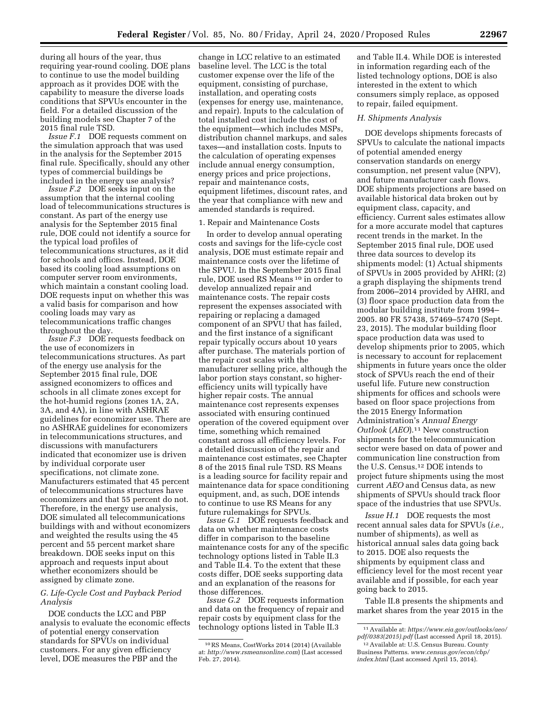during all hours of the year, thus requiring year-round cooling. DOE plans to continue to use the model building approach as it provides DOE with the capability to measure the diverse loads conditions that SPVUs encounter in the field. For a detailed discussion of the building models see Chapter 7 of the 2015 final rule TSD.

*Issue F.1* DOE requests comment on the simulation approach that was used in the analysis for the September 2015 final rule. Specifically, should any other types of commercial buildings be included in the energy use analysis?

*Issue F.2* DOE seeks input on the assumption that the internal cooling load of telecommunications structures is constant. As part of the energy use analysis for the September 2015 final rule, DOE could not identify a source for the typical load profiles of telecommunications structures, as it did for schools and offices. Instead, DOE based its cooling load assumptions on computer server room environments, which maintain a constant cooling load. DOE requests input on whether this was a valid basis for comparison and how cooling loads may vary as telecommunications traffic changes throughout the day.

*Issue F.3* DOE requests feedback on the use of economizers in telecommunications structures. As part of the energy use analysis for the September 2015 final rule, DOE assigned economizers to offices and schools in all climate zones except for the hot-humid regions (zones 1A, 2A, 3A, and 4A), in line with ASHRAE guidelines for economizer use. There are no ASHRAE guidelines for economizers in telecommunications structures, and discussions with manufacturers indicated that economizer use is driven by individual corporate user specifications, not climate zone. Manufacturers estimated that 45 percent of telecommunications structures have economizers and that 55 percent do not. Therefore, in the energy use analysis, DOE simulated all telecommunications buildings with and without economizers and weighted the results using the 45 percent and 55 percent market share breakdown. DOE seeks input on this approach and requests input about whether economizers should be assigned by climate zone.

# *G. Life-Cycle Cost and Payback Period Analysis*

DOE conducts the LCC and PBP analysis to evaluate the economic effects of potential energy conservation standards for SPVUs on individual customers. For any given efficiency level, DOE measures the PBP and the

change in LCC relative to an estimated baseline level. The LCC is the total customer expense over the life of the equipment, consisting of purchase, installation, and operating costs (expenses for energy use, maintenance, and repair). Inputs to the calculation of total installed cost include the cost of the equipment—which includes MSPs, distribution channel markups, and sales taxes—and installation costs. Inputs to the calculation of operating expenses include annual energy consumption, energy prices and price projections, repair and maintenance costs, equipment lifetimes, discount rates, and the year that compliance with new and amended standards is required.

## 1. Repair and Maintenance Costs

In order to develop annual operating costs and savings for the life-cycle cost analysis, DOE must estimate repair and maintenance costs over the lifetime of the SPVU. In the September 2015 final rule, DOE used RS Means 10 in order to develop annualized repair and maintenance costs. The repair costs represent the expenses associated with repairing or replacing a damaged component of an SPVU that has failed, and the first instance of a significant repair typically occurs about 10 years after purchase. The materials portion of the repair cost scales with the manufacturer selling price, although the labor portion stays constant, so higherefficiency units will typically have higher repair costs. The annual maintenance cost represents expenses associated with ensuring continued operation of the covered equipment over time, something which remained constant across all efficiency levels. For a detailed discussion of the repair and maintenance cost estimates, see Chapter 8 of the 2015 final rule TSD. RS Means is a leading source for facility repair and maintenance data for space conditioning equipment, and, as such, DOE intends to continue to use RS Means for any future rulemakings for SPVUs.

*Issue G.1* DOE requests feedback and data on whether maintenance costs differ in comparison to the baseline maintenance costs for any of the specific technology options listed in Table II.3 and Table II.4. To the extent that these costs differ, DOE seeks supporting data and an explanation of the reasons for those differences.

*Issue G.2* DOE requests information and data on the frequency of repair and repair costs by equipment class for the technology options listed in Table II.3

and Table II.4. While DOE is interested in information regarding each of the listed technology options, DOE is also interested in the extent to which consumers simply replace, as opposed to repair, failed equipment.

# *H. Shipments Analysis*

DOE develops shipments forecasts of SPVUs to calculate the national impacts of potential amended energy conservation standards on energy consumption, net present value (NPV), and future manufacturer cash flows. DOE shipments projections are based on available historical data broken out by equipment class, capacity, and efficiency. Current sales estimates allow for a more accurate model that captures recent trends in the market. In the September 2015 final rule, DOE used three data sources to develop its shipments model: (1) Actual shipments of SPVUs in 2005 provided by AHRI; (2) a graph displaying the shipments trend from 2006–2014 provided by AHRI, and (3) floor space production data from the modular building institute from 1994– 2005. 80 FR 57438, 57469–57470 (Sept. 23, 2015). The modular building floor space production data was used to develop shipments prior to 2005, which is necessary to account for replacement shipments in future years once the older stock of SPVUs reach the end of their useful life. Future new construction shipments for offices and schools were based on floor space projections from the 2015 Energy Information Administration's *Annual Energy Outlook* (*AEO*).11 New construction shipments for the telecommunication sector were based on data of power and communication line construction from the U.S. Census.12 DOE intends to project future shipments using the most current *AEO* and Census data, as new shipments of SPVUs should track floor space of the industries that use SPVUs.

*Issue H.1* DOE requests the most recent annual sales data for SPVUs (*i.e.,*  number of shipments), as well as historical annual sales data going back to 2015. DOE also requests the shipments by equipment class and efficiency level for the most recent year available and if possible, for each year going back to 2015.

Table II.8 presents the shipments and market shares from the year 2015 in the

<sup>10</sup>RS Means, CostWorks 2014 (2014) (Available at: *<http://www.rsmeansonline.com>*) (Last accessed Feb. 27, 2014).

<sup>11</sup>Available at: *[https://www.eia.gov/outlooks/aeo/](https://www.eia.gov/outlooks/aeo/pdf/0383(2015).pdf)  [pdf/0383\(2015\).pdf](https://www.eia.gov/outlooks/aeo/pdf/0383(2015).pdf)* (Last accessed April 18, 2015).

<sup>12</sup>Available at: U.S. Census Bureau. County Business Patterns. *[www.census.gov/econ/cbp/](http://www.census.gov/econ/cbp/index.html)  [index.html](http://www.census.gov/econ/cbp/index.html)* (Last accessed April 15, 2014).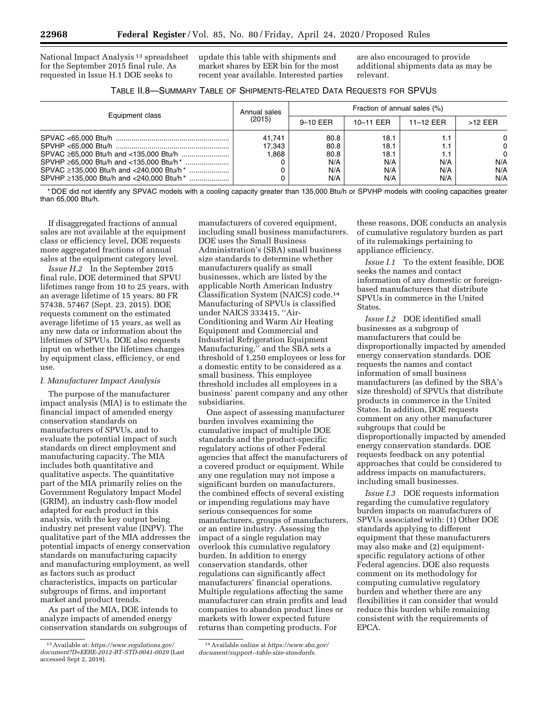National Impact Analysis 13 spreadsheet for the September 2015 final rule. As requested in Issue H.1 DOE seeks to

update this table with shipments and market shares by EER bin for the most recent year available. Interested parties are also encouraged to provide additional shipments data as may be relevant.

| TABLE II.8-SUMMARY TABLE OF SHIPMENTS-RELATED DATA REQUESTS FOR SPVUS |  |
|-----------------------------------------------------------------------|--|
|-----------------------------------------------------------------------|--|

| Equipment class                                      | Annual sales<br>(2015)   | Fraction of annual sales (%)       |                                    |            |                                         |
|------------------------------------------------------|--------------------------|------------------------------------|------------------------------------|------------|-----------------------------------------|
|                                                      |                          | 9-10 EER                           | 10-11 EER                          | 11-12 EER  | $>12$ FFR                               |
| SPVAC ≥135,000 Btu/h and <240,000 Btu/h <sup>*</sup> | 41.741<br>17.343<br>.868 | 80.8<br>80.8<br>80.8<br>N/A<br>N/A | 18.1<br>18.1<br>18.1<br>N/A<br>N/A | N/A<br>N/A | 0<br>$\Omega$<br>$\Omega$<br>N/A<br>N/A |
|                                                      |                          | N/A                                | N/A                                | N/A        | N/A                                     |

\* DOE did not identify any SPVAC models with a cooling capacity greater than 135,000 Btu/h or SPVHP models with cooling capacities greater than 65,000 Btu/h.

If disaggregated fractions of annual sales are not available at the equipment class or efficiency level, DOE requests more aggregated fractions of annual sales at the equipment category level.

*Issue H.2* In the September 2015 final rule, DOE determined that SPVU lifetimes range from 10 to 25 years, with an average lifetime of 15 years. 80 FR 57438, 57467 (Sept. 23, 2015). DOE requests comment on the estimated average lifetime of 15 years, as well as any new data or information about the lifetimes of SPVUs. DOE also requests input on whether the lifetimes changes by equipment class, efficiency, or end use.

# *I. Manufacturer Impact Analysis*

The purpose of the manufacturer impact analysis (MIA) is to estimate the financial impact of amended energy conservation standards on manufacturers of SPVUs, and to evaluate the potential impact of such standards on direct employment and manufacturing capacity. The MIA includes both quantitative and qualitative aspects. The quantitative part of the MIA primarily relies on the Government Regulatory Impact Model (GRIM), an industry cash-flow model adapted for each product in this analysis, with the key output being industry net present value (INPV). The qualitative part of the MIA addresses the potential impacts of energy conservation standards on manufacturing capacity and manufacturing employment, as well as factors such as product characteristics, impacts on particular subgroups of firms, and important market and product trends.

As part of the MIA, DOE intends to analyze impacts of amended energy conservation standards on subgroups of

manufacturers of covered equipment, including small business manufacturers. DOE uses the Small Business Administration's (SBA) small business size standards to determine whether manufacturers qualify as small businesses, which are listed by the applicable North American Industry Classification System (NAICS) code.14 Manufacturing of SPVUs is classified under NAICS 333415, ''Air-Conditioning and Warm Air Heating Equipment and Commercial and Industrial Refrigeration Equipment Manufacturing,'' and the SBA sets a threshold of 1,250 employees or less for a domestic entity to be considered as a small business. This employee threshold includes all employees in a business' parent company and any other subsidiaries.

One aspect of assessing manufacturer burden involves examining the cumulative impact of multiple DOE standards and the product-specific regulatory actions of other Federal agencies that affect the manufacturers of a covered product or equipment. While any one regulation may not impose a significant burden on manufacturers, the combined effects of several existing or impending regulations may have serious consequences for some manufacturers, groups of manufacturers, or an entire industry. Assessing the impact of a single regulation may overlook this cumulative regulatory burden. In addition to energy conservation standards, other regulations can significantly affect manufacturers' financial operations. Multiple regulations affecting the same manufacturer can strain profits and lead companies to abandon product lines or markets with lower expected future returns than competing products. For

these reasons, DOE conducts an analysis of cumulative regulatory burden as part of its rulemakings pertaining to appliance efficiency.

*Issue I.1* To the extent feasible, DOE seeks the names and contact information of any domestic or foreignbased manufacturers that distribute SPVUs in commerce in the United States.

*Issue I.2* DOE identified small businesses as a subgroup of manufacturers that could be disproportionally impacted by amended energy conservation standards. DOE requests the names and contact information of small business manufacturers (as defined by the SBA's size threshold) of SPVUs that distribute products in commerce in the United States. In addition, DOE requests comment on any other manufacturer subgroups that could be disproportionally impacted by amended energy conservation standards. DOE requests feedback on any potential approaches that could be considered to address impacts on manufacturers, including small businesses.

*Issue I.3* DOE requests information regarding the cumulative regulatory burden impacts on manufacturers of SPVUs associated with: (1) Other DOE standards applying to different equipment that these manufacturers may also make and (2) equipmentspecific regulatory actions of other Federal agencies. DOE also requests comment on its methodology for computing cumulative regulatory burden and whether there are any flexibilities it can consider that would reduce this burden while remaining consistent with the requirements of EPCA.

<sup>13</sup>Available at: *[https://www.regulations.gov/](https://www.regulations.gov/document?D=EERE-2012-BT-STD-0041-0029)  [document?D=EERE-2012-BT-STD-0041-0029](https://www.regulations.gov/document?D=EERE-2012-BT-STD-0041-0029)* (Last accessed Sept 2, 2019).

<sup>14</sup>Available online at *[https://www.sba.gov/](https://www.sba.gov/document/support--table-size-standards) [document/support--table-size-standards.](https://www.sba.gov/document/support--table-size-standards)*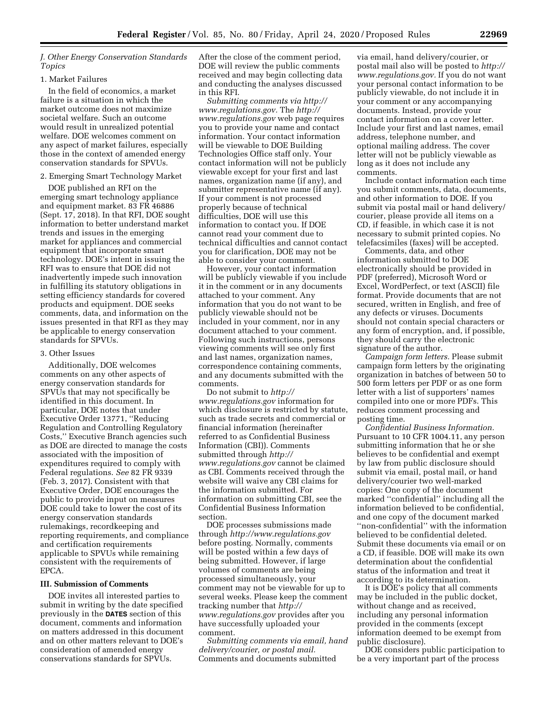# *J. Other Energy Conservation Standards Topics*

## 1. Market Failures

In the field of economics, a market failure is a situation in which the market outcome does not maximize societal welfare. Such an outcome would result in unrealized potential welfare. DOE welcomes comment on any aspect of market failures, especially those in the context of amended energy conservation standards for SPVUs.

# 2. Emerging Smart Technology Market

DOE published an RFI on the emerging smart technology appliance and equipment market. 83 FR 46886 (Sept. 17, 2018). In that RFI, DOE sought information to better understand market trends and issues in the emerging market for appliances and commercial equipment that incorporate smart technology. DOE's intent in issuing the RFI was to ensure that DOE did not inadvertently impede such innovation in fulfilling its statutory obligations in setting efficiency standards for covered products and equipment. DOE seeks comments, data, and information on the issues presented in that RFI as they may be applicable to energy conservation standards for SPVUs.

## 3. Other Issues

Additionally, DOE welcomes comments on any other aspects of energy conservation standards for SPVUs that may not specifically be identified in this document. In particular, DOE notes that under Executive Order 13771, ''Reducing Regulation and Controlling Regulatory Costs,'' Executive Branch agencies such as DOE are directed to manage the costs associated with the imposition of expenditures required to comply with Federal regulations. *See* 82 FR 9339 (Feb. 3, 2017). Consistent with that Executive Order, DOE encourages the public to provide input on measures DOE could take to lower the cost of its energy conservation standards rulemakings, recordkeeping and reporting requirements, and compliance and certification requirements applicable to SPVUs while remaining consistent with the requirements of EPCA.

# **III. Submission of Comments**

DOE invites all interested parties to submit in writing by the date specified previously in the **DATES** section of this document, comments and information on matters addressed in this document and on other matters relevant to DOE's consideration of amended energy conservations standards for SPVUs.

After the close of the comment period, DOE will review the public comments received and may begin collecting data and conducting the analyses discussed in this RFI.

*Submitting comments via [http://](http://www.regulations.gov) [www.regulations.gov.](http://www.regulations.gov)* The *[http://](http://www.regulations.gov) [www.regulations.gov](http://www.regulations.gov)* web page requires you to provide your name and contact information. Your contact information will be viewable to DOE Building Technologies Office staff only. Your contact information will not be publicly viewable except for your first and last names, organization name (if any), and submitter representative name (if any). If your comment is not processed properly because of technical difficulties, DOE will use this information to contact you. If DOE cannot read your comment due to technical difficulties and cannot contact you for clarification, DOE may not be able to consider your comment.

However, your contact information will be publicly viewable if you include it in the comment or in any documents attached to your comment. Any information that you do not want to be publicly viewable should not be included in your comment, nor in any document attached to your comment. Following such instructions, persons viewing comments will see only first and last names, organization names, correspondence containing comments, and any documents submitted with the comments.

Do not submit to *[http://](http://www.regulations.gov) [www.regulations.gov](http://www.regulations.gov)* information for which disclosure is restricted by statute, such as trade secrets and commercial or financial information (hereinafter referred to as Confidential Business Information (CBI)). Comments submitted through *[http://](http://www.regulations.gov) [www.regulations.gov](http://www.regulations.gov)* cannot be claimed as CBI. Comments received through the website will waive any CBI claims for the information submitted. For information on submitting CBI, see the Confidential Business Information section.

DOE processes submissions made through *<http://www.regulations.gov>*  before posting. Normally, comments will be posted within a few days of being submitted. However, if large volumes of comments are being processed simultaneously, your comment may not be viewable for up to several weeks. Please keep the comment tracking number that *[http://](http://www.regulations.gov) [www.regulations.gov](http://www.regulations.gov)* provides after you have successfully uploaded your comment.

*Submitting comments via email, hand delivery/courier, or postal mail.*  Comments and documents submitted

via email, hand delivery/courier, or postal mail also will be posted to *[http://](http://www.regulations.gov) [www.regulations.gov.](http://www.regulations.gov)* If you do not want your personal contact information to be publicly viewable, do not include it in your comment or any accompanying documents. Instead, provide your contact information on a cover letter. Include your first and last names, email address, telephone number, and optional mailing address. The cover letter will not be publicly viewable as long as it does not include any comments.

Include contact information each time you submit comments, data, documents, and other information to DOE. If you submit via postal mail or hand delivery/ courier, please provide all items on a CD, if feasible, in which case it is not necessary to submit printed copies. No telefacsimiles (faxes) will be accepted.

Comments, data, and other information submitted to DOE electronically should be provided in PDF (preferred), Microsoft Word or Excel, WordPerfect, or text (ASCII) file format. Provide documents that are not secured, written in English, and free of any defects or viruses. Documents should not contain special characters or any form of encryption, and, if possible, they should carry the electronic signature of the author.

*Campaign form letters.* Please submit campaign form letters by the originating organization in batches of between 50 to 500 form letters per PDF or as one form letter with a list of supporters' names compiled into one or more PDFs. This reduces comment processing and posting time.

*Confidential Business Information.*  Pursuant to 10 CFR 1004.11, any person submitting information that he or she believes to be confidential and exempt by law from public disclosure should submit via email, postal mail, or hand delivery/courier two well-marked copies: One copy of the document marked ''confidential'' including all the information believed to be confidential, and one copy of the document marked ''non-confidential'' with the information believed to be confidential deleted. Submit these documents via email or on a CD, if feasible. DOE will make its own determination about the confidential status of the information and treat it according to its determination.

It is DOE's policy that all comments may be included in the public docket, without change and as received, including any personal information provided in the comments (except information deemed to be exempt from public disclosure).

DOE considers public participation to be a very important part of the process